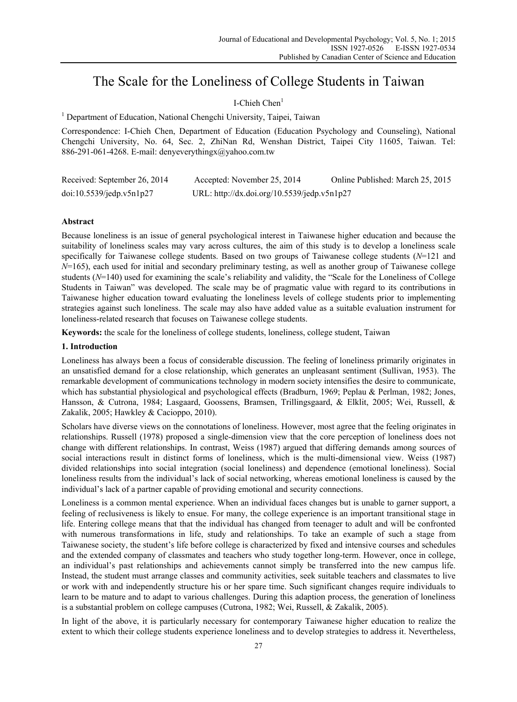# The Scale for the Loneliness of College Students in Taiwan

# I-Chieh  $Chen<sup>1</sup>$

<sup>1</sup> Department of Education, National Chengchi University, Taipei, Taiwan

Correspondence: I-Chieh Chen, Department of Education (Education Psychology and Counseling), National Chengchi University, No. 64, Sec. 2, ZhiNan Rd, Wenshan District, Taipei City 11605, Taiwan. Tel: 886-291-061-4268. E-mail: denyeverythingx@yahoo.com.tw

| Received: September 26, 2014 | Accepted: November 25, 2014                 | Online Published: March 25, 2015 |
|------------------------------|---------------------------------------------|----------------------------------|
| $doi:10.5539/j$ edp.v5n1p27  | URL: http://dx.doi.org/10.5539/jedp.v5n1p27 |                                  |

## **Abstract**

Because loneliness is an issue of general psychological interest in Taiwanese higher education and because the suitability of loneliness scales may vary across cultures, the aim of this study is to develop a loneliness scale specifically for Taiwanese college students. Based on two groups of Taiwanese college students (*N*=121 and *N*=165), each used for initial and secondary preliminary testing, as well as another group of Taiwanese college students ( $N=140$ ) used for examining the scale's reliability and validity, the "Scale for the Loneliness of College Students in Taiwan" was developed. The scale may be of pragmatic value with regard to its contributions in Taiwanese higher education toward evaluating the loneliness levels of college students prior to implementing strategies against such loneliness. The scale may also have added value as a suitable evaluation instrument for loneliness-related research that focuses on Taiwanese college students.

**Keywords:** the scale for the loneliness of college students, loneliness, college student, Taiwan

## **1. Introduction**

Loneliness has always been a focus of considerable discussion. The feeling of loneliness primarily originates in an unsatisfied demand for a close relationship, which generates an unpleasant sentiment (Sullivan, 1953). The remarkable development of communications technology in modern society intensifies the desire to communicate, which has substantial physiological and psychological effects (Bradburn, 1969; Peplau & Perlman, 1982; Jones, Hansson, & Cutrona, 1984; Lasgaard, Goossens, Bramsen, Trillingsgaard, & Elklit, 2005; Wei, Russell, & Zakalik, 2005; Hawkley & Cacioppo, 2010).

Scholars have diverse views on the connotations of loneliness. However, most agree that the feeling originates in relationships. Russell (1978) proposed a single-dimension view that the core perception of loneliness does not change with different relationships. In contrast, Weiss (1987) argued that differing demands among sources of social interactions result in distinct forms of loneliness, which is the multi-dimensional view. Weiss (1987) divided relationships into social integration (social loneliness) and dependence (emotional loneliness). Social loneliness results from the individual's lack of social networking, whereas emotional loneliness is caused by the individual's lack of a partner capable of providing emotional and security connections.

Loneliness is a common mental experience. When an individual faces changes but is unable to garner support, a feeling of reclusiveness is likely to ensue. For many, the college experience is an important transitional stage in life. Entering college means that that the individual has changed from teenager to adult and will be confronted with numerous transformations in life, study and relationships. To take an example of such a stage from Taiwanese society, the student's life before college is characterized by fixed and intensive courses and schedules and the extended company of classmates and teachers who study together long-term. However, once in college, an individual's past relationships and achievements cannot simply be transferred into the new campus life. Instead, the student must arrange classes and community activities, seek suitable teachers and classmates to live or work with and independently structure his or her spare time. Such significant changes require individuals to learn to be mature and to adapt to various challenges. During this adaption process, the generation of loneliness is a substantial problem on college campuses (Cutrona, 1982; Wei, Russell, & Zakalik, 2005).

In light of the above, it is particularly necessary for contemporary Taiwanese higher education to realize the extent to which their college students experience loneliness and to develop strategies to address it. Nevertheless,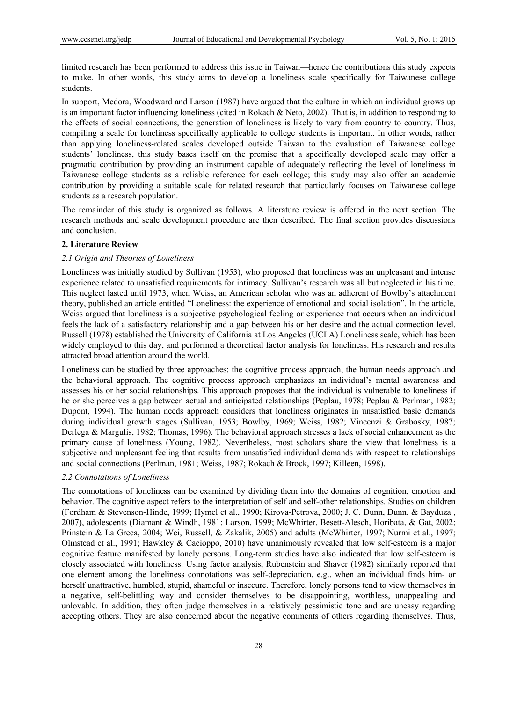limited research has been performed to address this issue in Taiwan—hence the contributions this study expects to make. In other words, this study aims to develop a loneliness scale specifically for Taiwanese college students.

In support, Medora, Woodward and Larson (1987) have argued that the culture in which an individual grows up is an important factor influencing loneliness (cited in Rokach & Neto, 2002). That is, in addition to responding to the effects of social connections, the generation of loneliness is likely to vary from country to country. Thus, compiling a scale for loneliness specifically applicable to college students is important. In other words, rather than applying loneliness-related scales developed outside Taiwan to the evaluation of Taiwanese college students' loneliness, this study bases itself on the premise that a specifically developed scale may offer a pragmatic contribution by providing an instrument capable of adequately reflecting the level of loneliness in Taiwanese college students as a reliable reference for each college; this study may also offer an academic contribution by providing a suitable scale for related research that particularly focuses on Taiwanese college students as a research population.

The remainder of this study is organized as follows. A literature review is offered in the next section. The research methods and scale development procedure are then described. The final section provides discussions and conclusion.

#### **2. Literature Review**

#### *2.1 Origin and Theories of Loneliness*

Loneliness was initially studied by Sullivan (1953), who proposed that loneliness was an unpleasant and intense experience related to unsatisfied requirements for intimacy. Sullivan's research was all but neglected in his time. This neglect lasted until 1973, when Weiss, an American scholar who was an adherent of Bowlby's attachment theory, published an article entitled "Loneliness: the experience of emotional and social isolation". In the article, Weiss argued that loneliness is a subjective psychological feeling or experience that occurs when an individual feels the lack of a satisfactory relationship and a gap between his or her desire and the actual connection level. Russell (1978) established the University of California at Los Angeles (UCLA) Loneliness scale, which has been widely employed to this day, and performed a theoretical factor analysis for loneliness. His research and results attracted broad attention around the world.

Loneliness can be studied by three approaches: the cognitive process approach, the human needs approach and the behavioral approach. The cognitive process approach emphasizes an individual's mental awareness and assesses his or her social relationships. This approach proposes that the individual is vulnerable to loneliness if he or she perceives a gap between actual and anticipated relationships (Peplau, 1978; Peplau & Perlman, 1982; Dupont, 1994). The human needs approach considers that loneliness originates in unsatisfied basic demands during individual growth stages (Sullivan, 1953; Bowlby, 1969; Weiss, 1982; Vincenzi & Grabosky, 1987; Derlega & Margulis, 1982; Thomas, 1996). The behavioral approach stresses a lack of social enhancement as the primary cause of loneliness (Young, 1982). Nevertheless, most scholars share the view that loneliness is a subjective and unpleasant feeling that results from unsatisfied individual demands with respect to relationships and social connections (Perlman, 1981; Weiss, 1987; Rokach & Brock, 1997; Killeen, 1998).

#### *2.2 Connotations of Loneliness*

The connotations of loneliness can be examined by dividing them into the domains of cognition, emotion and behavior. The cognitive aspect refers to the interpretation of self and self-other relationships. Studies on children (Fordham & Stevenson-Hinde, 1999; Hymel et al., 1990; Kirova-Petrova, 2000; J. C. Dunn, Dunn, & Bayduza , 2007), adolescents (Diamant & Windh, 1981; Larson, 1999; McWhirter, Besett-Alesch, Horibata, & Gat, 2002; Prinstein & La Greca, 2004; Wei, Russell, & Zakalik, 2005) and adults (McWhirter, 1997; Nurmi et al., 1997; Olmstead et al., 1991; Hawkley & Cacioppo, 2010) have unanimously revealed that low self-esteem is a major cognitive feature manifested by lonely persons. Long-term studies have also indicated that low self-esteem is closely associated with loneliness. Using factor analysis, Rubenstein and Shaver (1982) similarly reported that one element among the loneliness connotations was self-depreciation, e.g., when an individual finds him- or herself unattractive, humbled, stupid, shameful or insecure. Therefore, lonely persons tend to view themselves in a negative, self-belittling way and consider themselves to be disappointing, worthless, unappealing and unlovable. In addition, they often judge themselves in a relatively pessimistic tone and are uneasy regarding accepting others. They are also concerned about the negative comments of others regarding themselves. Thus,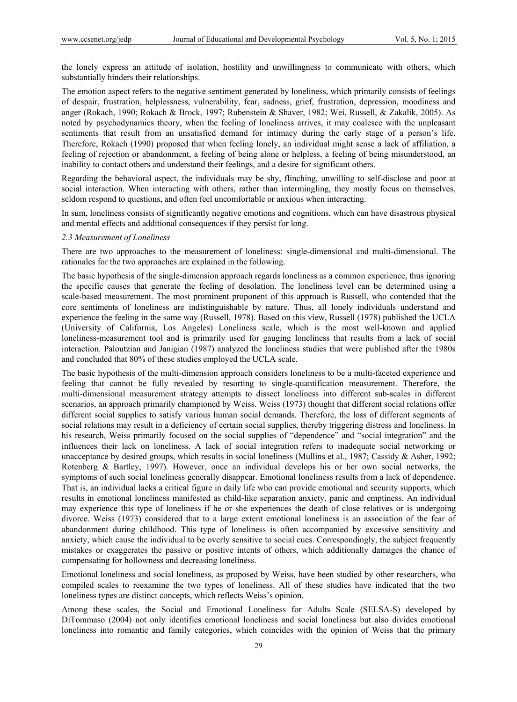the lonely express an attitude of isolation, hostility and unwillingness to communicate with others, which substantially hinders their relationships.

The emotion aspect refers to the negative sentiment generated by loneliness, which primarily consists of feelings of despair, frustration, helplessness, vulnerability, fear, sadness, grief, frustration, depression, moodiness and anger (Rokach, 1990; Rokach & Brock, 1997; Rubenstein & Shaver, 1982; Wei, Russell, & Zakalik, 2005). As noted by psychodynamics theory, when the feeling of loneliness arrives, it may coalesce with the unpleasant sentiments that result from an unsatisfied demand for intimacy during the early stage of a person's life. Therefore, Rokach (1990) proposed that when feeling lonely, an individual might sense a lack of affiliation, a feeling of rejection or abandonment, a feeling of being alone or helpless, a feeling of being misunderstood, an inability to contact others and understand their feelings, and a desire for significant others.

Regarding the behavioral aspect, the individuals may be shy, flinching, unwilling to self-disclose and poor at social interaction. When interacting with others, rather than intermingling, they mostly focus on themselves, seldom respond to questions, and often feel uncomfortable or anxious when interacting.

In sum, loneliness consists of significantly negative emotions and cognitions, which can have disastrous physical and mental effects and additional consequences if they persist for long.

#### *2.3 Measurement of Loneliness*

There are two approaches to the measurement of loneliness: single-dimensional and multi-dimensional. The rationales for the two approaches are explained in the following.

The basic hypothesis of the single-dimension approach regards loneliness as a common experience, thus ignoring the specific causes that generate the feeling of desolation. The loneliness level can be determined using a scale-based measurement. The most prominent proponent of this approach is Russell, who contended that the core sentiments of loneliness are indistinguishable by nature. Thus, all lonely individuals understand and experience the feeling in the same way (Russell, 1978). Based on this view, Russell (1978) published the UCLA (University of California, Los Angeles) Loneliness scale, which is the most well-known and applied loneliness-measurement tool and is primarily used for gauging loneliness that results from a lack of social interaction. Paloutzian and Janigian (1987) analyzed the loneliness studies that were published after the 1980s and concluded that 80% of these studies employed the UCLA scale.

The basic hypothesis of the multi-dimension approach considers loneliness to be a multi-faceted experience and feeling that cannot be fully revealed by resorting to single-quantification measurement. Therefore, the multi-dimensional measurement strategy attempts to dissect loneliness into different sub-scales in different scenarios, an approach primarily championed by Weiss. Weiss (1973) thought that different social relations offer different social supplies to satisfy various human social demands. Therefore, the loss of different segments of social relations may result in a deficiency of certain social supplies, thereby triggering distress and loneliness. In his research, Weiss primarily focused on the social supplies of "dependence" and "social integration" and the influences their lack on loneliness. A lack of social integration refers to inadequate social networking or unacceptance by desired groups, which results in social loneliness (Mullins et al., 1987; Cassidy & Asher, 1992; Rotenberg & Bartley, 1997). However, once an individual develops his or her own social networks, the symptoms of such social loneliness generally disappear. Emotional loneliness results from a lack of dependence. That is, an individual lacks a critical figure in daily life who can provide emotional and security supports, which results in emotional loneliness manifested as child-like separation anxiety, panic and emptiness. An individual may experience this type of loneliness if he or she experiences the death of close relatives or is undergoing divorce. Weiss (1973) considered that to a large extent emotional loneliness is an association of the fear of abandonment during childhood. This type of loneliness is often accompanied by excessive sensitivity and anxiety, which cause the individual to be overly sensitive to social cues. Correspondingly, the subject frequently mistakes or exaggerates the passive or positive intents of others, which additionally damages the chance of compensating for hollowness and decreasing loneliness.

Emotional loneliness and social loneliness, as proposed by Weiss, have been studied by other researchers, who compiled scales to reexamine the two types of loneliness. All of these studies have indicated that the two loneliness types are distinct concepts, which reflects Weiss's opinion.

Among these scales, the Social and Emotional Loneliness for Adults Scale (SELSA-S) developed by DiTommaso (2004) not only identifies emotional loneliness and social loneliness but also divides emotional loneliness into romantic and family categories, which coincides with the opinion of Weiss that the primary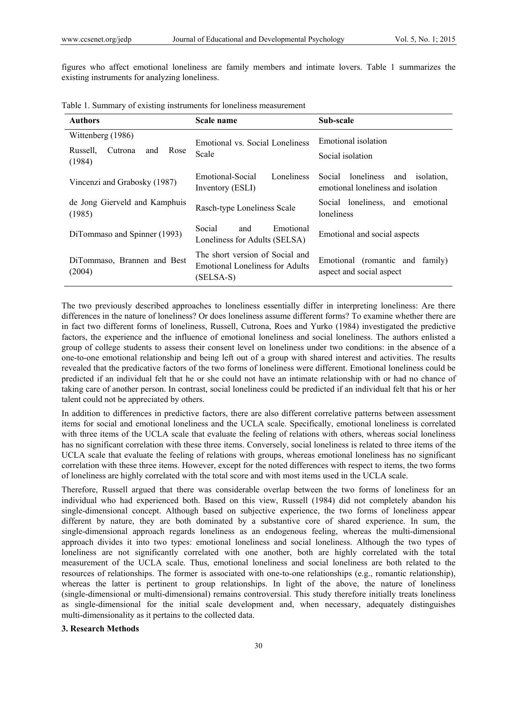figures who affect emotional loneliness are family members and intimate lovers. Table 1 summarizes the existing instruments for analyzing loneliness.

Table 1. Summary of existing instruments for loneliness measurement

| <b>Authors</b>                               | Scale name                                                  |                                                                              |  |  |
|----------------------------------------------|-------------------------------------------------------------|------------------------------------------------------------------------------|--|--|
| Wittenberg (1986)                            | Emotional vs. Social Loneliness                             | Emotional isolation                                                          |  |  |
| Russell.<br>Rose<br>Cutrona<br>and<br>(1984) | Scale                                                       | Social isolation                                                             |  |  |
| Vincenzi and Grabosky (1987)                 | Emotional-Social<br>Loneliness<br>Inventory (ESLI)          | Social loneliness<br>and<br>isolation.<br>emotional loneliness and isolation |  |  |
| de Jong Gierveld and Kamphuis<br>(1985)      | Rasch-type Loneliness Scale                                 | Social loneliness, and emotional<br>loneliness                               |  |  |
| DiTommaso and Spinner (1993)                 | Social<br>Emotional<br>and<br>Loneliness for Adults (SELSA) | Emotional and social aspects                                                 |  |  |
| DiTommaso, Brannen and Best<br>(2004)        | Emotional (romantic and family)<br>aspect and social aspect |                                                                              |  |  |

The two previously described approaches to loneliness essentially differ in interpreting loneliness: Are there differences in the nature of loneliness? Or does loneliness assume different forms? To examine whether there are in fact two different forms of loneliness, Russell, Cutrona, Roes and Yurko (1984) investigated the predictive factors, the experience and the influence of emotional loneliness and social loneliness. The authors enlisted a group of college students to assess their consent level on loneliness under two conditions: in the absence of a one-to-one emotional relationship and being left out of a group with shared interest and activities. The results revealed that the predicative factors of the two forms of loneliness were different. Emotional loneliness could be predicted if an individual felt that he or she could not have an intimate relationship with or had no chance of taking care of another person. In contrast, social loneliness could be predicted if an individual felt that his or her talent could not be appreciated by others.

In addition to differences in predictive factors, there are also different correlative patterns between assessment items for social and emotional loneliness and the UCLA scale. Specifically, emotional loneliness is correlated with three items of the UCLA scale that evaluate the feeling of relations with others, whereas social loneliness has no significant correlation with these three items. Conversely, social loneliness is related to three items of the UCLA scale that evaluate the feeling of relations with groups, whereas emotional loneliness has no significant correlation with these three items. However, except for the noted differences with respect to items, the two forms of loneliness are highly correlated with the total score and with most items used in the UCLA scale.

Therefore, Russell argued that there was considerable overlap between the two forms of loneliness for an individual who had experienced both. Based on this view, Russell (1984) did not completely abandon his single-dimensional concept. Although based on subjective experience, the two forms of loneliness appear different by nature, they are both dominated by a substantive core of shared experience. In sum, the single-dimensional approach regards loneliness as an endogenous feeling, whereas the multi-dimensional approach divides it into two types: emotional loneliness and social loneliness. Although the two types of loneliness are not significantly correlated with one another, both are highly correlated with the total measurement of the UCLA scale. Thus, emotional loneliness and social loneliness are both related to the resources of relationships. The former is associated with one-to-one relationships (e.g., romantic relationship), whereas the latter is pertinent to group relationships. In light of the above, the nature of loneliness (single-dimensional or multi-dimensional) remains controversial. This study therefore initially treats loneliness as single-dimensional for the initial scale development and, when necessary, adequately distinguishes multi-dimensionality as it pertains to the collected data.

#### **3. Research Methods**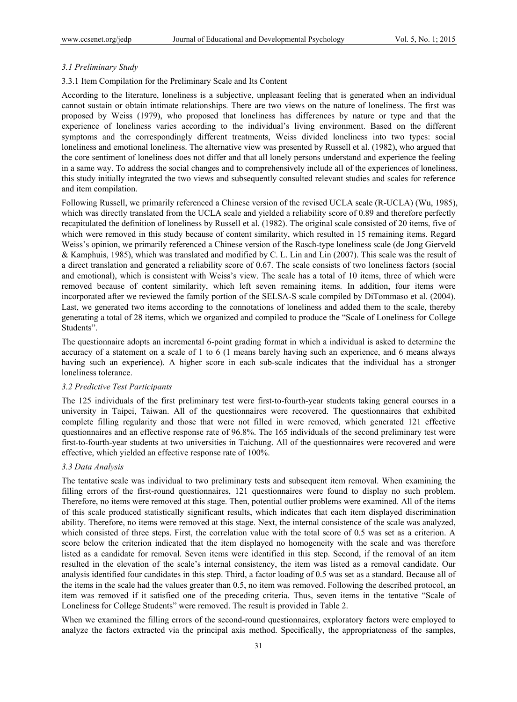## *3.1 Preliminary Study*

#### 3.3.1 Item Compilation for the Preliminary Scale and Its Content

According to the literature, loneliness is a subjective, unpleasant feeling that is generated when an individual cannot sustain or obtain intimate relationships. There are two views on the nature of loneliness. The first was proposed by Weiss (1979), who proposed that loneliness has differences by nature or type and that the experience of loneliness varies according to the individual's living environment. Based on the different symptoms and the correspondingly different treatments, Weiss divided loneliness into two types: social loneliness and emotional loneliness. The alternative view was presented by Russell et al. (1982), who argued that the core sentiment of loneliness does not differ and that all lonely persons understand and experience the feeling in a same way. To address the social changes and to comprehensively include all of the experiences of loneliness, this study initially integrated the two views and subsequently consulted relevant studies and scales for reference and item compilation.

Following Russell, we primarily referenced a Chinese version of the revised UCLA scale (R-UCLA) (Wu, 1985), which was directly translated from the UCLA scale and yielded a reliability score of 0.89 and therefore perfectly recapitulated the definition of loneliness by Russell et al. (1982). The original scale consisted of 20 items, five of which were removed in this study because of content similarity, which resulted in 15 remaining items. Regard Weiss's opinion, we primarily referenced a Chinese version of the Rasch-type loneliness scale (de Jong Gierveld & Kamphuis, 1985), which was translated and modified by C. L. Lin and Lin (2007). This scale was the result of a direct translation and generated a reliability score of 0.67. The scale consists of two loneliness factors (social and emotional), which is consistent with Weiss's view. The scale has a total of 10 items, three of which were removed because of content similarity, which left seven remaining items. In addition, four items were incorporated after we reviewed the family portion of the SELSA-S scale compiled by DiTommaso et al. (2004). Last, we generated two items according to the connotations of loneliness and added them to the scale, thereby generating a total of 28 items, which we organized and compiled to produce the "Scale of Loneliness for College Students".

The questionnaire adopts an incremental 6-point grading format in which a individual is asked to determine the accuracy of a statement on a scale of 1 to 6 (1 means barely having such an experience, and 6 means always having such an experience). A higher score in each sub-scale indicates that the individual has a stronger loneliness tolerance.

#### *3.2 Predictive Test Participants*

The 125 individuals of the first preliminary test were first-to-fourth-year students taking general courses in a university in Taipei, Taiwan. All of the questionnaires were recovered. The questionnaires that exhibited complete filling regularity and those that were not filled in were removed, which generated 121 effective questionnaires and an effective response rate of 96.8%. The 165 individuals of the second preliminary test were first-to-fourth-year students at two universities in Taichung. All of the questionnaires were recovered and were effective, which yielded an effective response rate of 100%.

#### *3.3 Data Analysis*

The tentative scale was individual to two preliminary tests and subsequent item removal. When examining the filling errors of the first-round questionnaires, 121 questionnaires were found to display no such problem. Therefore, no items were removed at this stage. Then, potential outlier problems were examined. All of the items of this scale produced statistically significant results, which indicates that each item displayed discrimination ability. Therefore, no items were removed at this stage. Next, the internal consistence of the scale was analyzed, which consisted of three steps. First, the correlation value with the total score of 0.5 was set as a criterion. A score below the criterion indicated that the item displayed no homogeneity with the scale and was therefore listed as a candidate for removal. Seven items were identified in this step. Second, if the removal of an item resulted in the elevation of the scale's internal consistency, the item was listed as a removal candidate. Our analysis identified four candidates in this step. Third, a factor loading of 0.5 was set as a standard. Because all of the items in the scale had the values greater than 0.5, no item was removed. Following the described protocol, an item was removed if it satisfied one of the preceding criteria. Thus, seven items in the tentative "Scale of Loneliness for College Students" were removed. The result is provided in Table 2.

When we examined the filling errors of the second-round questionnaires, exploratory factors were employed to analyze the factors extracted via the principal axis method. Specifically, the appropriateness of the samples,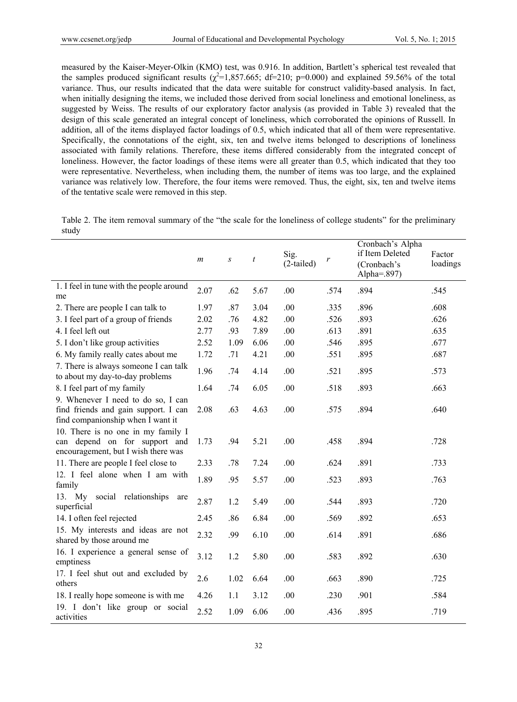measured by the Kaiser-Meyer-Olkin (KMO) test, was 0.916. In addition, Bartlett's spherical test revealed that the samples produced significant results ( $\chi^2$ =1,857.665; df=210; p=0.000) and explained 59.56% of the total variance. Thus, our results indicated that the data were suitable for construct validity-based analysis. In fact, when initially designing the items, we included those derived from social loneliness and emotional loneliness, as suggested by Weiss. The results of our exploratory factor analysis (as provided in Table 3) revealed that the design of this scale generated an integral concept of loneliness, which corroborated the opinions of Russell. In addition, all of the items displayed factor loadings of 0.5, which indicated that all of them were representative. Specifically, the connotations of the eight, six, ten and twelve items belonged to descriptions of loneliness associated with family relations. Therefore, these items differed considerably from the integrated concept of loneliness. However, the factor loadings of these items were all greater than 0.5, which indicated that they too were representative. Nevertheless, when including them, the number of items was too large, and the explained variance was relatively low. Therefore, the four items were removed. Thus, the eight, six, ten and twelve items of the tentative scale were removed in this step.

Table 2. The item removal summary of the "the scale for the loneliness of college students" for the preliminary study

|                                                                                                                 | $\boldsymbol{m}$ | $\boldsymbol{S}$ | $\boldsymbol{t}$ | Sig.<br>$(2-tailed)$ | r    | Cronbach's Alpha<br>if Item Deleted<br>(Cronbach's<br>Alpha=.897) | Factor<br>loadings |
|-----------------------------------------------------------------------------------------------------------------|------------------|------------------|------------------|----------------------|------|-------------------------------------------------------------------|--------------------|
| 1. I feel in tune with the people around<br>me                                                                  | 2.07             | .62              | 5.67             | .00                  | .574 | .894                                                              | .545               |
| 2. There are people I can talk to                                                                               | 1.97             | .87              | 3.04             | .00                  | .335 | .896                                                              | .608               |
| 3. I feel part of a group of friends                                                                            | 2.02             | .76              | 4.82             | .00                  | .526 | .893                                                              | .626               |
| 4. I feel left out                                                                                              | 2.77             | .93              | 7.89             | .00                  | .613 | .891                                                              | .635               |
| 5. I don't like group activities                                                                                | 2.52             | 1.09             | 6.06             | .00                  | .546 | .895                                                              | .677               |
| 6. My family really cates about me                                                                              | 1.72             | .71              | 4.21             | .00                  | .551 | .895                                                              | .687               |
| 7. There is always someone I can talk<br>to about my day-to-day problems                                        | 1.96             | .74              | 4.14             | .00                  | .521 | .895                                                              | .573               |
| 8. I feel part of my family                                                                                     | 1.64             | .74              | 6.05             | .00                  | .518 | .893                                                              | .663               |
| 9. Whenever I need to do so, I can<br>find friends and gain support. I can<br>find companionship when I want it | 2.08             | .63              | 4.63             | .00                  | .575 | .894                                                              | .640               |
| 10. There is no one in my family I<br>can depend on for support and<br>encouragement, but I wish there was      | 1.73             | .94              | 5.21             | .00                  | .458 | .894                                                              | .728               |
| 11. There are people I feel close to                                                                            | 2.33             | .78              | 7.24             | .00                  | .624 | .891                                                              | .733               |
| 12. I feel alone when I am with<br>family                                                                       | 1.89             | .95              | 5.57             | .00                  | .523 | .893                                                              | .763               |
| 13. My social relationships<br>are<br>superficial                                                               | 2.87             | 1.2              | 5.49             | .00                  | .544 | .893                                                              | .720               |
| 14. I often feel rejected                                                                                       | 2.45             | .86              | 6.84             | .00                  | .569 | .892                                                              | .653               |
| 15. My interests and ideas are not<br>shared by those around me                                                 | 2.32             | .99              | 6.10             | .00                  | .614 | .891                                                              | .686               |
| 16. I experience a general sense of<br>emptiness                                                                | 3.12             | 1.2              | 5.80             | .00                  | .583 | .892                                                              | .630               |
| 17. I feel shut out and excluded by<br>others                                                                   | 2.6              | 1.02             | 6.64             | .00                  | .663 | .890                                                              | .725               |
| 18. I really hope someone is with me                                                                            | 4.26             | 1.1              | 3.12             | .00                  | .230 | .901                                                              | .584               |
| 19. I don't like group or social<br>activities                                                                  | 2.52             | 1.09             | 6.06             | .00                  | .436 | .895                                                              | .719               |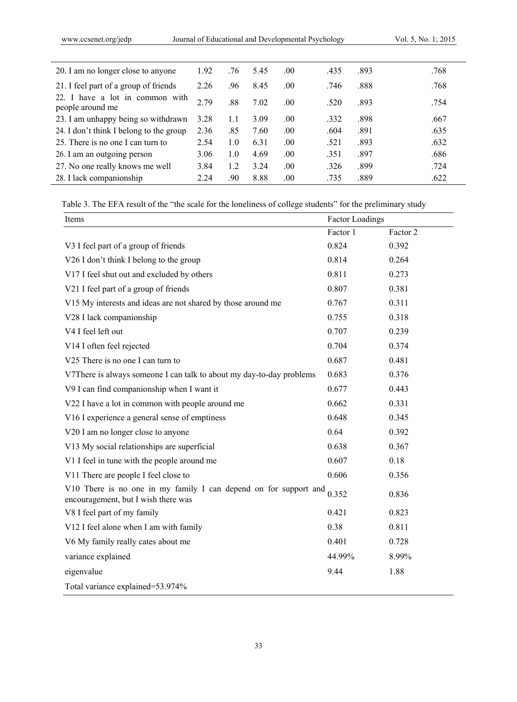| 20. I am no longer close to anyone                  | 1.92 | .76 | 5.45 | .00. | .435 | .893 | .768 |
|-----------------------------------------------------|------|-----|------|------|------|------|------|
| 21. I feel part of a group of friends               | 2.26 | .96 | 8.45 | .00. | .746 | .888 | .768 |
| 22. I have a lot in common with<br>people around me | 2.79 | .88 | 7.02 | .00. | .520 | .893 | .754 |
| 23. I am unhappy being so withdrawn                 | 3.28 | 1.1 | 3.09 | .00. | 332  | .898 | .667 |
| 24. I don't think I belong to the group             | 2.36 | .85 | 7.60 | .00. | .604 | .891 | .635 |
| 25. There is no one I can turn to                   | 2.54 | 1.0 | 6.31 | .00. | .521 | .893 | .632 |
| 26. I am an outgoing person                         | 3.06 | 1.0 | 4.69 | .00. | .351 | .897 | .686 |
| 27. No one really knows me well                     | 3.84 | 1.2 | 3.24 | .00. | .326 | .899 | .724 |
| 28. I lack companionship                            | 2.24 | .90 | 8.88 | .00. | .735 | .889 | .622 |

Table 3. The EFA result of the "the scale for the loneliness of college students" for the preliminary study

| Items                                                                                                   | <b>Factor Loadings</b> |          |
|---------------------------------------------------------------------------------------------------------|------------------------|----------|
|                                                                                                         | Factor 1               | Factor 2 |
| V3 I feel part of a group of friends                                                                    | 0.824                  | 0.392    |
| V26 I don't think I belong to the group                                                                 | 0.814                  | 0.264    |
| V17 I feel shut out and excluded by others                                                              | 0.811                  | 0.273    |
| V21 I feel part of a group of friends                                                                   | 0.807                  | 0.381    |
| V15 My interests and ideas are not shared by those around me                                            | 0.767                  | 0.311    |
| V28 I lack companionship                                                                                | 0.755                  | 0.318    |
| V4 I feel left out                                                                                      | 0.707                  | 0.239    |
| V14 I often feel rejected                                                                               | 0.704                  | 0.374    |
| V25 There is no one I can turn to                                                                       | 0.687                  | 0.481    |
| V7There is always someone I can talk to about my day-to-day problems                                    | 0.683                  | 0.376    |
| V9 I can find companionship when I want it                                                              | 0.677                  | 0.443    |
| V22 I have a lot in common with people around me                                                        | 0.662                  | 0.331    |
| V16 I experience a general sense of emptiness                                                           | 0.648                  | 0.345    |
| V20 I am no longer close to anyone                                                                      | 0.64                   | 0.392    |
| V13 My social relationships are superficial                                                             | 0.638                  | 0.367    |
| V1 I feel in tune with the people around me                                                             | 0.607                  | 0.18     |
| V11 There are people I feel close to                                                                    | 0.606                  | 0.356    |
| V10 There is no one in my family I can depend on for support and<br>encouragement, but I wish there was | 0.352                  | 0.836    |
| V8 I feel part of my family                                                                             | 0.421                  | 0.823    |
| V12 I feel alone when I am with family                                                                  | 0.38                   | 0.811    |
| V6 My family really cates about me                                                                      | 0.401                  | 0.728    |
| variance explained                                                                                      | 44.99%                 | 8.99%    |
| eigenvalue                                                                                              | 9.44                   | 1.88     |
| Total variance explained=53.974%                                                                        |                        |          |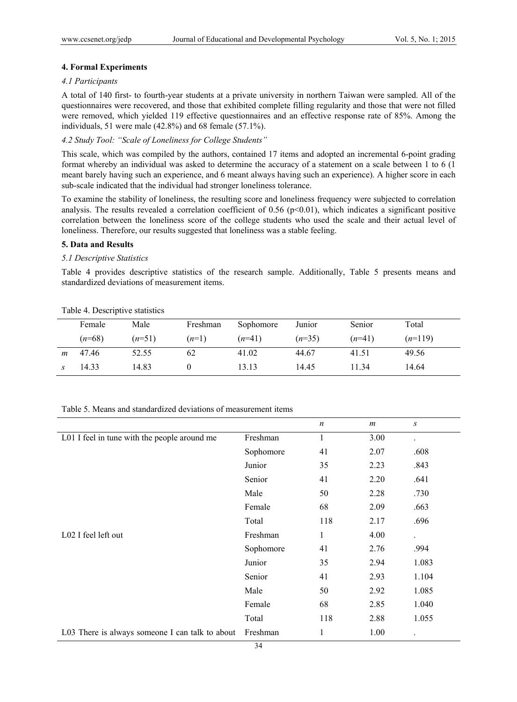## **4. Formal Experiments**

## *4.1 Participants*

A total of 140 first- to fourth-year students at a private university in northern Taiwan were sampled. All of the questionnaires were recovered, and those that exhibited complete filling regularity and those that were not filled were removed, which yielded 119 effective questionnaires and an effective response rate of 85%. Among the individuals, 51 were male (42.8%) and 68 female (57.1%).

## *4.2 Study Tool: "Scale of Loneliness for College Students"*

This scale, which was compiled by the authors, contained 17 items and adopted an incremental 6-point grading format whereby an individual was asked to determine the accuracy of a statement on a scale between 1 to 6 (1 meant barely having such an experience, and 6 meant always having such an experience). A higher score in each sub-scale indicated that the individual had stronger loneliness tolerance.

To examine the stability of loneliness, the resulting score and loneliness frequency were subjected to correlation analysis. The results revealed a correlation coefficient of  $0.56$  (p<0.01), which indicates a significant positive correlation between the loneliness score of the college students who used the scale and their actual level of loneliness. Therefore, our results suggested that loneliness was a stable feeling.

### **5. Data and Results**

## *5.1 Descriptive Statistics*

Table 4 provides descriptive statistics of the research sample. Additionally, Table 5 presents means and standardized deviations of measurement items.

|   | Female   | Male     | Freshman | Sophomore | Junior   | Senior   | Total     |
|---|----------|----------|----------|-----------|----------|----------|-----------|
|   | $(n=68)$ | $(n=51)$ | $(n=1)$  | $(n=41)$  | $(n=35)$ | $(n=41)$ | $(n=119)$ |
| m | 47.46    | 52.55    | 62       | 41.02     | 44.67    | 41.51    | 49.56     |
|   | 14.33    | 14.83    |          | 13.13     | 14.45    | 11.34    | 14.64     |

Table 4. Descriptive statistics

#### Table 5. Means and standardized deviations of measurement items

|                                                 |           | $\boldsymbol{n}$ | $\boldsymbol{m}$ | $\boldsymbol{S}$     |
|-------------------------------------------------|-----------|------------------|------------------|----------------------|
| L01 I feel in tune with the people around me    | Freshman  | 1                | 3.00             | $\ddot{\phantom{a}}$ |
|                                                 | Sophomore | 41               | 2.07             | .608                 |
|                                                 | Junior    | 35               | 2.23             | .843                 |
|                                                 | Senior    | 41               | 2.20             | .641                 |
|                                                 | Male      | 50               | 2.28             | .730                 |
|                                                 | Female    | 68               | 2.09             | .663                 |
|                                                 | Total     | 118              | 2.17             | .696                 |
| L02 I feel left out                             | Freshman  | $\mathbf{1}$     | 4.00             |                      |
|                                                 | Sophomore | 41               | 2.76             | .994                 |
|                                                 | Junior    | 35               | 2.94             | 1.083                |
|                                                 | Senior    | 41               | 2.93             | 1.104                |
|                                                 | Male      | 50               | 2.92             | 1.085                |
|                                                 | Female    | 68               | 2.85             | 1.040                |
|                                                 | Total     | 118              | 2.88             | 1.055                |
| L03 There is always someone I can talk to about | Freshman  | 1                | 1.00             |                      |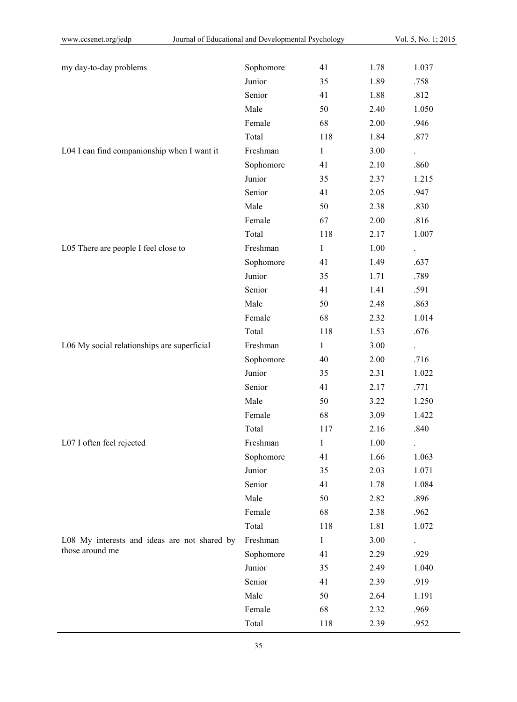| my day-to-day problems                       | Sophomore | 41           | 1.78 | 1.037                |
|----------------------------------------------|-----------|--------------|------|----------------------|
|                                              | Junior    | 35           | 1.89 | .758                 |
|                                              | Senior    | 41           | 1.88 | .812                 |
|                                              | Male      | 50           | 2.40 | 1.050                |
|                                              | Female    | 68           | 2.00 | .946                 |
|                                              | Total     | 118          | 1.84 | .877                 |
| L04 I can find companionship when I want it  | Freshman  | $\mathbf{1}$ | 3.00 | $\ddot{\phantom{0}}$ |
|                                              | Sophomore | 41           | 2.10 | .860                 |
|                                              | Junior    | 35           | 2.37 | 1.215                |
|                                              | Senior    | 41           | 2.05 | .947                 |
|                                              | Male      | 50           | 2.38 | .830                 |
|                                              | Female    | 67           | 2.00 | .816                 |
|                                              | Total     | 118          | 2.17 | 1.007                |
| L05 There are people I feel close to         | Freshman  | $\mathbf{1}$ | 1.00 | $\ddot{\phantom{0}}$ |
|                                              | Sophomore | 41           | 1.49 | .637                 |
|                                              | Junior    | 35           | 1.71 | .789                 |
|                                              | Senior    | 41           | 1.41 | .591                 |
|                                              | Male      | 50           | 2.48 | .863                 |
|                                              | Female    | 68           | 2.32 | 1.014                |
|                                              | Total     | 118          | 1.53 | .676                 |
| L06 My social relationships are superficial  | Freshman  | $\mathbf{1}$ | 3.00 |                      |
|                                              | Sophomore | 40           | 2.00 | .716                 |
|                                              | Junior    | 35           | 2.31 | 1.022                |
|                                              | Senior    | 41           | 2.17 | .771                 |
|                                              | Male      | 50           | 3.22 | 1.250                |
|                                              | Female    | 68           | 3.09 | 1.422                |
|                                              | Total     | 117          | 2.16 | .840                 |
| L07 I often feel rejected                    | Freshman  | $\mathbf{1}$ | 1.00 |                      |
|                                              | Sophomore | 41           | 1.66 | 1.063                |
|                                              | Junior    | 35           | 2.03 | 1.071                |
|                                              | Senior    | 41           | 1.78 | 1.084                |
|                                              | Male      | 50           | 2.82 | .896                 |
|                                              | Female    | 68           | 2.38 | .962                 |
|                                              | Total     | 118          | 1.81 | 1.072                |
| L08 My interests and ideas are not shared by | Freshman  | $\mathbf{1}$ | 3.00 | ¥.                   |
| those around me                              | Sophomore | 41           | 2.29 | .929                 |
|                                              | Junior    | 35           | 2.49 | 1.040                |
|                                              | Senior    | 41           | 2.39 | .919                 |
|                                              | Male      | 50           | 2.64 | 1.191                |
|                                              | Female    | 68           | 2.32 | .969                 |
|                                              | Total     | 118          | 2.39 | .952                 |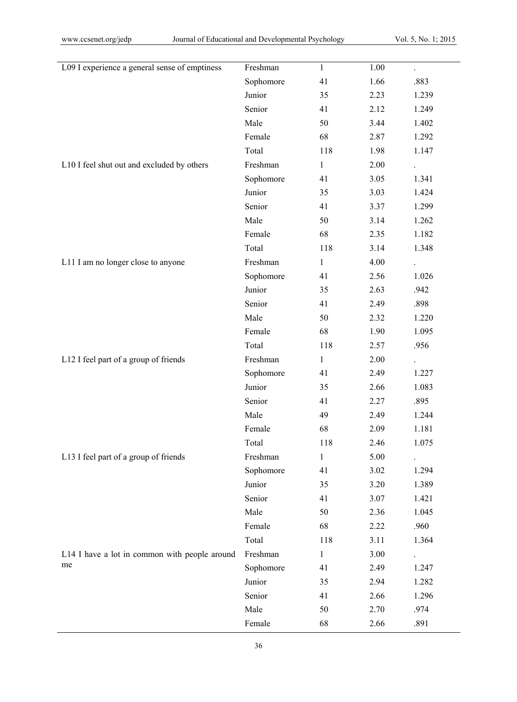| L09 I experience a general sense of emptiness | Freshman  | $\mathbf{1}$ | 1.00 |                      |
|-----------------------------------------------|-----------|--------------|------|----------------------|
|                                               | Sophomore | 41           | 1.66 | .883                 |
|                                               | Junior    | 35           | 2.23 | 1.239                |
|                                               | Senior    | 41           | 2.12 | 1.249                |
|                                               | Male      | 50           | 3.44 | 1.402                |
|                                               | Female    | 68           | 2.87 | 1.292                |
|                                               | Total     | 118          | 1.98 | 1.147                |
| L10 I feel shut out and excluded by others    | Freshman  | $\mathbf{1}$ | 2.00 |                      |
|                                               | Sophomore | 41           | 3.05 | 1.341                |
|                                               | Junior    | 35           | 3.03 | 1.424                |
|                                               | Senior    | 41           | 3.37 | 1.299                |
|                                               | Male      | 50           | 3.14 | 1.262                |
|                                               | Female    | 68           | 2.35 | 1.182                |
|                                               | Total     | 118          | 3.14 | 1.348                |
| L11 I am no longer close to anyone            | Freshman  | $\mathbf{1}$ | 4.00 | $\ddot{\phantom{0}}$ |
|                                               | Sophomore | 41           | 2.56 | 1.026                |
|                                               | Junior    | 35           | 2.63 | .942                 |
|                                               | Senior    | 41           | 2.49 | .898                 |
|                                               | Male      | 50           | 2.32 | 1.220                |
|                                               | Female    | 68           | 1.90 | 1.095                |
|                                               | Total     | 118          | 2.57 | .956                 |
| L12 I feel part of a group of friends         | Freshman  | $\mathbf{1}$ | 2.00 | $\ddot{\phantom{0}}$ |
|                                               | Sophomore | 41           | 2.49 | 1.227                |
|                                               | Junior    | 35           | 2.66 | 1.083                |
|                                               | Senior    | 41           | 2.27 | .895                 |
|                                               | Male      | 49           | 2.49 | 1.244                |
|                                               | Female    | 68           | 2.09 | 1.181                |
|                                               | Total     | 118          | 2.46 | 1.075                |
| L13 I feel part of a group of friends         | Freshman  | $\mathbf{1}$ | 5.00 |                      |
|                                               | Sophomore | 41           | 3.02 | 1.294                |
|                                               | Junior    | 35           | 3.20 | 1.389                |
|                                               | Senior    | 41           | 3.07 | 1.421                |
|                                               | Male      | 50           | 2.36 | 1.045                |
|                                               | Female    | 68           | 2.22 | .960                 |
|                                               | Total     | 118          | 3.11 | 1.364                |
| L14 I have a lot in common with people around | Freshman  | $\mathbf{1}$ | 3.00 | $\ddot{\phantom{0}}$ |
| me                                            | Sophomore | 41           | 2.49 | 1.247                |
|                                               | Junior    | 35           | 2.94 | 1.282                |
|                                               | Senior    | 41           | 2.66 | 1.296                |
|                                               | Male      | 50           | 2.70 | .974                 |
|                                               | Female    | 68           | 2.66 | .891                 |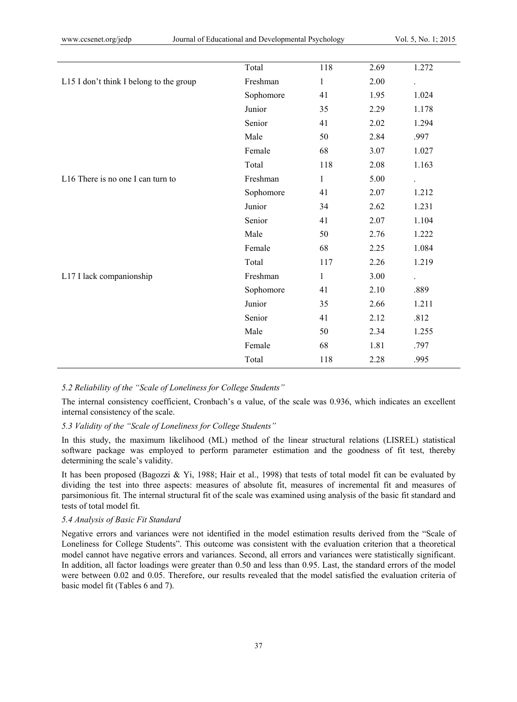|                                         | Total     | 118          | 2.69 | 1.272                     |
|-----------------------------------------|-----------|--------------|------|---------------------------|
| L15 I don't think I belong to the group | Freshman  | $\mathbf{1}$ | 2.00 | $\mathbb{Z}^{\mathbb{Z}}$ |
|                                         | Sophomore | 41           | 1.95 | 1.024                     |
|                                         | Junior    | 35           | 2.29 | 1.178                     |
|                                         | Senior    | 41           | 2.02 | 1.294                     |
|                                         | Male      | 50           | 2.84 | .997                      |
|                                         | Female    | 68           | 3.07 | 1.027                     |
|                                         | Total     | 118          | 2.08 | 1.163                     |
| L16 There is no one I can turn to       | Freshman  | 1            | 5.00 |                           |
|                                         | Sophomore | 41           | 2.07 | 1.212                     |
|                                         | Junior    | 34           | 2.62 | 1.231                     |
|                                         | Senior    | 41           | 2.07 | 1.104                     |
|                                         | Male      | 50           | 2.76 | 1.222                     |
|                                         | Female    | 68           | 2.25 | 1.084                     |
|                                         | Total     | 117          | 2.26 | 1.219                     |
| L17 I lack companionship                | Freshman  | $\mathbf{1}$ | 3.00 |                           |
|                                         | Sophomore | 41           | 2.10 | .889                      |
|                                         | Junior    | 35           | 2.66 | 1.211                     |
|                                         | Senior    | 41           | 2.12 | .812                      |
|                                         | Male      | 50           | 2.34 | 1.255                     |
|                                         | Female    | 68           | 1.81 | .797                      |
|                                         | Total     | 118          | 2.28 | .995                      |
|                                         |           |              |      |                           |

### *5.2 Reliability of the "Scale of Loneliness for College Students"*

The internal consistency coefficient, Cronbach's α value, of the scale was 0.936, which indicates an excellent internal consistency of the scale.

## *5.3 Validity of the "Scale of Loneliness for College Students"*

In this study, the maximum likelihood (ML) method of the linear structural relations (LISREL) statistical software package was employed to perform parameter estimation and the goodness of fit test, thereby determining the scale's validity.

It has been proposed (Bagozzi & Yi, 1988; Hair et al., 1998) that tests of total model fit can be evaluated by dividing the test into three aspects: measures of absolute fit, measures of incremental fit and measures of parsimonious fit. The internal structural fit of the scale was examined using analysis of the basic fit standard and tests of total model fit.

#### *5.4 Analysis of Basic Fit Standard*

Negative errors and variances were not identified in the model estimation results derived from the "Scale of Loneliness for College Students". This outcome was consistent with the evaluation criterion that a theoretical model cannot have negative errors and variances. Second, all errors and variances were statistically significant. In addition, all factor loadings were greater than 0.50 and less than 0.95. Last, the standard errors of the model were between 0.02 and 0.05. Therefore, our results revealed that the model satisfied the evaluation criteria of basic model fit (Tables 6 and 7).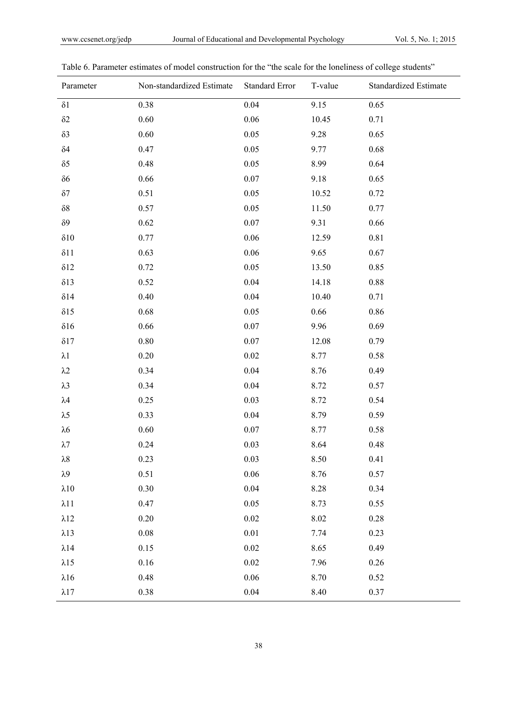| Parameter   | Non-standardized Estimate | <b>Standard Error</b> | T-value  | <b>Standardized Estimate</b> |
|-------------|---------------------------|-----------------------|----------|------------------------------|
| $\delta 1$  | 0.38                      | $0.04\,$              | 9.15     | 0.65                         |
| $\delta 2$  | 0.60                      | 0.06                  | 10.45    | 0.71                         |
| $\delta$ 3  | 0.60                      | 0.05                  | 9.28     | 0.65                         |
| $\delta$ 4  | 0.47                      | 0.05                  | 9.77     | 0.68                         |
| $\delta 5$  | 0.48                      | 0.05                  | 8.99     | 0.64                         |
| $\delta 6$  | 0.66                      | $0.07\,$              | 9.18     | 0.65                         |
| $\delta 7$  | 0.51                      | 0.05                  | 10.52    | 0.72                         |
| $\delta 8$  | 0.57                      | 0.05                  | 11.50    | 0.77                         |
| $\delta 9$  | 0.62                      | 0.07                  | 9.31     | 0.66                         |
| $\delta10$  | 0.77                      | $0.06\,$              | 12.59    | 0.81                         |
| $\delta11$  | 0.63                      | $0.06\,$              | 9.65     | 0.67                         |
| $\delta 12$ | 0.72                      | 0.05                  | 13.50    | 0.85                         |
| $\delta$ 13 | 0.52                      | 0.04                  | 14.18    | 0.88                         |
| $\delta 14$ | 0.40                      | $0.04\,$              | 10.40    | 0.71                         |
| $\delta$ 15 | 0.68                      | 0.05                  | 0.66     | 0.86                         |
| $\delta 16$ | 0.66                      | $0.07\,$              | 9.96     | 0.69                         |
| $\delta 17$ | $0.80\,$                  | $0.07\,$              | 12.08    | 0.79                         |
| $\lambda1$  | $0.20\,$                  | 0.02                  | 8.77     | 0.58                         |
| $\lambda2$  | 0.34                      | 0.04                  | 8.76     | 0.49                         |
| $\lambda 3$ | 0.34                      | 0.04                  | 8.72     | 0.57                         |
| $\lambda4$  | 0.25                      | 0.03                  | 8.72     | 0.54                         |
| $\lambda$ 5 | 0.33                      | $0.04\,$              | 8.79     | 0.59                         |
| $\lambda 6$ | 0.60                      | $0.07\,$              | 8.77     | 0.58                         |
| $\lambda7$  | 0.24                      | 0.03                  | 8.64     | 0.48                         |
| $\lambda 8$ | 0.23                      | 0.03                  | 8.50     | 0.41                         |
| $\lambda 9$ | 0.51                      | $0.06\,$              | 8.76     | 0.57                         |
| $\lambda10$ | 0.30                      | $0.04\,$              | 8.28     | 0.34                         |
| $\lambda11$ | 0.47                      | 0.05                  | 8.73     | 0.55                         |
| $\lambda12$ | $0.20\,$                  | 0.02                  | $8.02\,$ | 0.28                         |
| $\lambda13$ | $0.08\,$                  | $0.01\,$              | 7.74     | 0.23                         |
| $\lambda14$ | $0.15\,$                  | $0.02\,$              | 8.65     | 0.49                         |
| $\lambda15$ | 0.16                      | $0.02\,$              | 7.96     | 0.26                         |
| $\lambda16$ | 0.48                      | $0.06\,$              | 8.70     | 0.52                         |
| $\lambda17$ | 0.38                      | $0.04\,$              | 8.40     | 0.37                         |

|  |  | Table 6. Parameter estimates of model construction for the "the scale for the loneliness of college students" |  |  |  |  |
|--|--|---------------------------------------------------------------------------------------------------------------|--|--|--|--|
|  |  |                                                                                                               |  |  |  |  |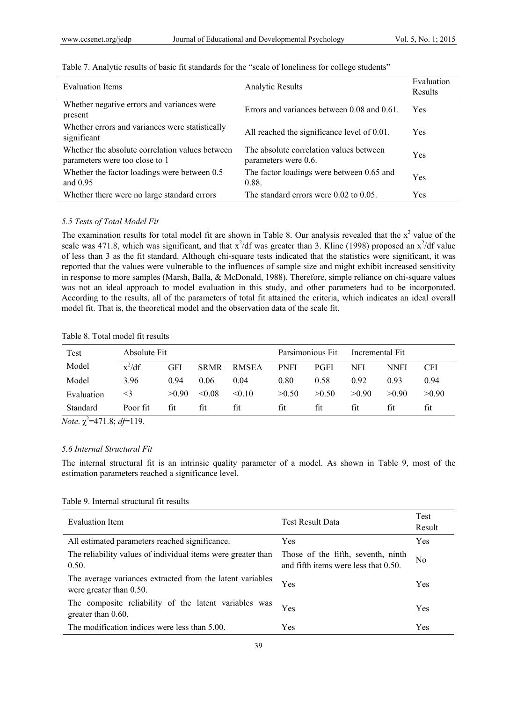| <b>Evaluation Items</b>                                                           | <b>Analytic Results</b>                                         | Evaluation<br>Results |
|-----------------------------------------------------------------------------------|-----------------------------------------------------------------|-----------------------|
| Whether negative errors and variances were<br>present                             | Errors and variances between 0.08 and 0.61.                     | <b>Yes</b>            |
| Whether errors and variances were statistically<br>significant                    | All reached the significance level of 0.01.                     | Yes                   |
| Whether the absolute correlation values between<br>parameters were too close to 1 | The absolute correlation values between<br>parameters were 0.6. | Yes                   |
| Whether the factor loadings were between 0.5<br>and $0.95$                        | The factor loadings were between 0.65 and<br>0.88.              | Yes                   |
| Whether there were no large standard errors                                       | The standard errors were $0.02$ to $0.05$ .                     | Yes                   |

Table 7. Analytic results of basic fit standards for the "scale of loneliness for college students"

#### *5.5 Tests of Total Model Fit*

The examination results for total model fit are shown in Table 8. Our analysis revealed that the  $x^2$  value of the scale was 471.8, which was significant, and that  $x^2/df$  was greater than 3. Kline (1998) proposed an  $x^2/df$  value of less than 3 as the fit standard. Although chi-square tests indicated that the statistics were significant, it was reported that the values were vulnerable to the influences of sample size and might exhibit increased sensitivity in response to more samples (Marsh, Balla, & McDonald, 1988). Therefore, simple reliance on chi-square values was not an ideal approach to model evaluation in this study, and other parameters had to be incorporated. According to the results, all of the parameters of total fit attained the criteria, which indicates an ideal overall model fit. That is, the theoretical model and the observation data of the scale fit.

#### Table 8. Total model fit results

| Test       | Absolute Fit |       |             | Parsimonious Fit |             | Incremental Fit |       |       |            |
|------------|--------------|-------|-------------|------------------|-------------|-----------------|-------|-------|------------|
| Model      | $x^2/df$     | GFI   | <b>SRMR</b> | <b>RMSEA</b>     | <b>PNFI</b> | <b>PGFI</b>     | NFI   | NNFI  | <b>CFI</b> |
| Model      | 3.96         | 0.94  | 0.06        | 0.04             | 0.80        | 0.58            | 0.92  | 0.93  | 0.94       |
| Evaluation | $\leq$ 3     | >0.90 | < 0.08      | < 0.10           | >0.50       | >0.50           | >0.90 | >0.90 | >0.90      |
| Standard   | Poor fit     | fit   | fit         | fit              | fit         | fit             | fit   | fit   | fit        |

*Note*. χ 2 =471.8; *df*=119.

#### *5.6 Internal Structural Fit*

The internal structural fit is an intrinsic quality parameter of a model. As shown in Table 9, most of the estimation parameters reached a significance level.

|  | Table 9. Internal structural fit results |
|--|------------------------------------------|
|--|------------------------------------------|

| Evaluation Item                                                                      | Test Result Data                                                           | Test<br>Result |
|--------------------------------------------------------------------------------------|----------------------------------------------------------------------------|----------------|
| All estimated parameters reached significance.                                       | Yes                                                                        | Yes            |
| The reliability values of individual items were greater than<br>0.50.                | Those of the fifth, seventh, ninth<br>and fifth items were less that 0.50. | N <sub>0</sub> |
| The average variances extracted from the latent variables<br>were greater than 0.50. | Yes                                                                        | Yes            |
| The composite reliability of the latent variables was<br>greater than 0.60.          | Yes                                                                        | Yes            |
| The modification indices were less than 5.00.                                        | Yes                                                                        | Yes            |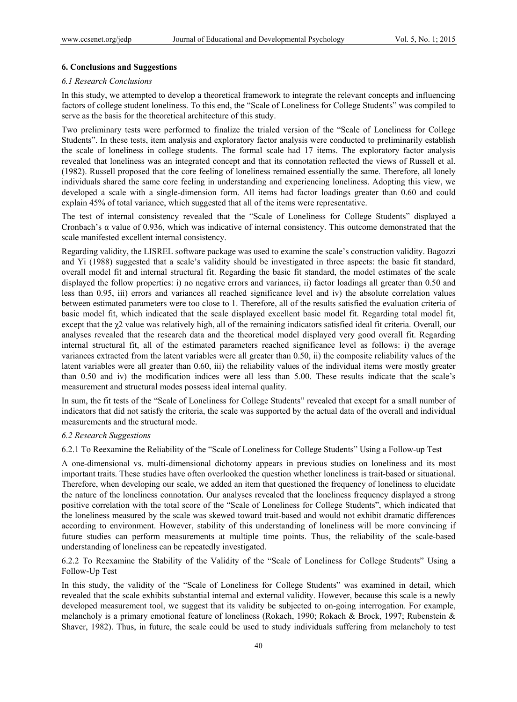#### **6. Conclusions and Suggestions**

#### *6.1 Research Conclusions*

In this study, we attempted to develop a theoretical framework to integrate the relevant concepts and influencing factors of college student loneliness. To this end, the "Scale of Loneliness for College Students" was compiled to serve as the basis for the theoretical architecture of this study.

Two preliminary tests were performed to finalize the trialed version of the "Scale of Loneliness for College Students". In these tests, item analysis and exploratory factor analysis were conducted to preliminarily establish the scale of loneliness in college students. The formal scale had 17 items. The exploratory factor analysis revealed that loneliness was an integrated concept and that its connotation reflected the views of Russell et al. (1982). Russell proposed that the core feeling of loneliness remained essentially the same. Therefore, all lonely individuals shared the same core feeling in understanding and experiencing loneliness. Adopting this view, we developed a scale with a single-dimension form. All items had factor loadings greater than 0.60 and could explain 45% of total variance, which suggested that all of the items were representative.

The test of internal consistency revealed that the "Scale of Loneliness for College Students" displayed a Cronbach's  $\alpha$  value of 0.936, which was indicative of internal consistency. This outcome demonstrated that the scale manifested excellent internal consistency.

Regarding validity, the LISREL software package was used to examine the scale's construction validity. Bagozzi and Yi (1988) suggested that a scale's validity should be investigated in three aspects: the basic fit standard, overall model fit and internal structural fit. Regarding the basic fit standard, the model estimates of the scale displayed the follow properties: i) no negative errors and variances, ii) factor loadings all greater than 0.50 and less than 0.95, iii) errors and variances all reached significance level and iv) the absolute correlation values between estimated parameters were too close to 1. Therefore, all of the results satisfied the evaluation criteria of basic model fit, which indicated that the scale displayed excellent basic model fit. Regarding total model fit, except that the  $\gamma$ 2 value was relatively high, all of the remaining indicators satisfied ideal fit criteria. Overall, our analyses revealed that the research data and the theoretical model displayed very good overall fit. Regarding internal structural fit, all of the estimated parameters reached significance level as follows: i) the average variances extracted from the latent variables were all greater than 0.50, ii) the composite reliability values of the latent variables were all greater than 0.60, iii) the reliability values of the individual items were mostly greater than 0.50 and iv) the modification indices were all less than 5.00. These results indicate that the scale's measurement and structural modes possess ideal internal quality.

In sum, the fit tests of the "Scale of Loneliness for College Students" revealed that except for a small number of indicators that did not satisfy the criteria, the scale was supported by the actual data of the overall and individual measurements and the structural mode.

#### *6.2 Research Suggestions*

6.2.1 To Reexamine the Reliability of the "Scale of Loneliness for College Students" Using a Follow-up Test

A one-dimensional vs. multi-dimensional dichotomy appears in previous studies on loneliness and its most important traits. These studies have often overlooked the question whether loneliness is trait-based or situational. Therefore, when developing our scale, we added an item that questioned the frequency of loneliness to elucidate the nature of the loneliness connotation. Our analyses revealed that the loneliness frequency displayed a strong positive correlation with the total score of the "Scale of Loneliness for College Students", which indicated that the loneliness measured by the scale was skewed toward trait-based and would not exhibit dramatic differences according to environment. However, stability of this understanding of loneliness will be more convincing if future studies can perform measurements at multiple time points. Thus, the reliability of the scale-based understanding of loneliness can be repeatedly investigated.

6.2.2 To Reexamine the Stability of the Validity of the "Scale of Loneliness for College Students" Using a Follow-Up Test

In this study, the validity of the "Scale of Loneliness for College Students" was examined in detail, which revealed that the scale exhibits substantial internal and external validity. However, because this scale is a newly developed measurement tool, we suggest that its validity be subjected to on-going interrogation. For example, melancholy is a primary emotional feature of loneliness (Rokach, 1990; Rokach & Brock, 1997; Rubenstein & Shaver, 1982). Thus, in future, the scale could be used to study individuals suffering from melancholy to test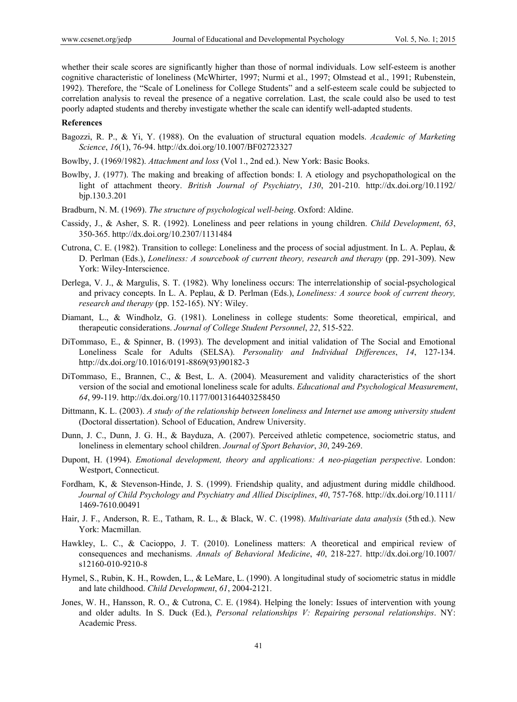whether their scale scores are significantly higher than those of normal individuals. Low self-esteem is another cognitive characteristic of loneliness (McWhirter, 1997; Nurmi et al., 1997; Olmstead et al., 1991; Rubenstein, 1992). Therefore, the "Scale of Loneliness for College Students" and a self-esteem scale could be subjected to correlation analysis to reveal the presence of a negative correlation. Last, the scale could also be used to test poorly adapted students and thereby investigate whether the scale can identify well-adapted students.

### **References**

- Bagozzi, R. P., & Yi, Y. (1988). On the evaluation of structural equation models. *Academic of Marketing Science*, *16*(1), 76-94. http://dx.doi.org/10.1007/BF02723327
- Bowlby, J. (1969/1982). *Attachment and loss* (Vol 1., 2nd ed.). New York: Basic Books.
- Bowlby, J. (1977). The making and breaking of affection bonds: I. A etiology and psychopathological on the light of attachment theory. *British Journal of Psychiatry*, *130*, 201-210. http://dx.doi.org/10.1192/ bjp.130.3.201
- Bradburn, N. M. (1969). *The structure of psychological well-being*. Oxford: Aldine.
- Cassidy, J., & Asher, S. R. (1992). Loneliness and peer relations in young children. *Child Development*, *63*, 350-365. http://dx.doi.org/10.2307/1131484
- Cutrona, C. E. (1982). Transition to college: Loneliness and the process of social adjustment. In L. A. Peplau, & D. Perlman (Eds.), *Loneliness: A sourcebook of current theory, research and therapy* (pp. 291-309). New York: Wiley-Interscience.
- Derlega, V. J., & Margulis, S. T. (1982). Why loneliness occurs: The interrelationship of social-psychological and privacy concepts. In L. A. Peplau, & D. Perlman (Eds.), *Loneliness: A source book of current theory, research and therapy* (pp. 152-165). NY: Wiley.
- Diamant, L., & Windholz, G. (1981). Loneliness in college students: Some theoretical, empirical, and therapeutic considerations. *Journal of College Student Personnel*, *22*, 515-522.
- DiTommaso, E., & Spinner, B. (1993). The development and initial validation of The Social and Emotional Loneliness Scale for Adults (SELSA). *Personality and Individual Differences*, *14*, 127-134. http://dx.doi.org/10.1016/0191-8869(93)90182-3
- DiTommaso, E., Brannen, C., & Best, L. A. (2004). Measurement and validity characteristics of the short version of the social and emotional loneliness scale for adults. *Educational and Psychological Measurement*, *64*, 99-119. http://dx.doi.org/10.1177/0013164403258450
- Dittmann, K. L. (2003). *A study of the relationship between loneliness and Internet use among university student* (Doctoral dissertation). School of Education, Andrew University.
- Dunn, J. C., Dunn, J. G. H., & Bayduza, A. (2007). Perceived athletic competence, sociometric status, and loneliness in elementary school children. *Journal of Sport Behavior*, *30*, 249-269.
- Dupont, H. (1994). *Emotional development, theory and applications: A neo-piagetian perspective*. London: Westport, Connecticut.
- Fordham, K, & Stevenson-Hinde, J. S. (1999). Friendship quality, and adjustment during middle childhood. *Journal of Child Psychology and Psychiatry and Allied Disciplines*, *40*, 757-768. http://dx.doi.org/10.1111/ 1469-7610.00491
- Hair, J. F., Anderson, R. E., Tatham, R. L., & Black, W. C. (1998). *Multivariate data analysis* (5th ed.). New York: Macmillan.
- Hawkley, L. C., & Cacioppo, J. T. (2010). Loneliness matters: A theoretical and empirical review of consequences and mechanisms. *Annals of Behavioral Medicine*, *40*, 218-227. http://dx.doi.org/10.1007/ s12160-010-9210-8
- Hymel, S., Rubin, K. H., Rowden, L., & LeMare, L. (1990). A longitudinal study of sociometric status in middle and late childhood. *Child Development*, *61*, 2004-2121.
- Jones, W. H., Hansson, R. O., & Cutrona, C. E. (1984). Helping the lonely: Issues of intervention with young and older adults. In S. Duck (Ed.), *Personal relationships V: Repairing personal relationships*. NY: Academic Press.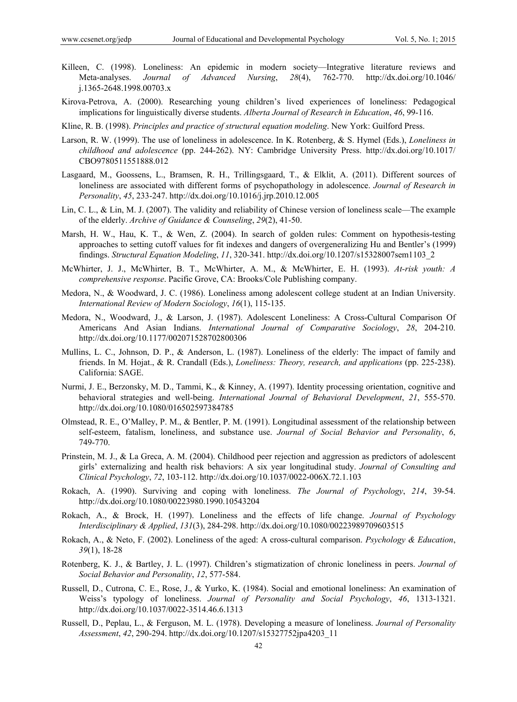- Killeen, C. (1998). Loneliness: An epidemic in modern society—Integrative literature reviews and Meta-analyses. *Journal of Advanced Nursing*, *28*(4), 762-770. http://dx.doi.org/10.1046/ j.1365-2648.1998.00703.x
- Kirova-Petrova, A. (2000). Researching young children's lived experiences of loneliness: Pedagogical implications for linguistically diverse students. *Alberta Journal of Research in Education*, *46*, 99-116.
- Kline, R. B. (1998). *Principles and practice of structural equation modeling*. New York: Guilford Press.
- Larson, R. W. (1999). The use of loneliness in adolescence. In K. Rotenberg, & S. Hymel (Eds.), *Loneliness in childhood and adolescence* (pp. 244-262). NY: Cambridge University Press. http://dx.doi.org/10.1017/ CBO9780511551888.012
- Lasgaard, M., Goossens, L., Bramsen, R. H., Trillingsgaard, T., & Elklit, A. (2011). Different sources of loneliness are associated with different forms of psychopathology in adolescence. *Journal of Research in Personality*, *45*, 233-247. http://dx.doi.org/10.1016/j.jrp.2010.12.005
- Lin, C. L., & Lin, M. J. (2007). The validity and reliability of Chinese version of loneliness scale—The example of the elderly. *Archive of Guidance & Counseling*, *29*(2), 41-50.
- Marsh, H. W., Hau, K. T., & Wen, Z. (2004). In search of golden rules: Comment on hypothesis-testing approaches to setting cutoff values for fit indexes and dangers of overgeneralizing Hu and Bentler's (1999) findings. *Structural Equation Modeling*, *11*, 320-341. http://dx.doi.org/10.1207/s15328007sem1103\_2
- McWhirter, J. J., McWhirter, B. T., McWhirter, A. M., & McWhirter, E. H. (1993). *At-risk youth: A comprehensive response*. Pacific Grove, CA: Brooks/Cole Publishing company.
- Medora, N., & Woodward, J. C. (1986). Loneliness among adolescent college student at an Indian University. *International Review of Modern Sociology*, *16*(1), 115-135.
- Medora, N., Woodward, J., & Larson, J. (1987). Adolescent Loneliness: A Cross-Cultural Comparison Of Americans And Asian Indians. *International Journal of Comparative Sociology*, *28*, 204-210. http://dx.doi.org/10.1177/002071528702800306
- Mullins, L. C., Johnson, D. P., & Anderson, L. (1987). Loneliness of the elderly: The impact of family and friends. In M. Hojat., & R. Crandall (Eds.), *Loneliness: Theory, research, and applications* (pp. 225-238). California: SAGE.
- Nurmi, J. E., Berzonsky, M. D., Tammi, K., & Kinney, A. (1997). Identity processing orientation, cognitive and behavioral strategies and well-being. *International Journal of Behavioral Development*, *21*, 555-570. http://dx.doi.org/10.1080/016502597384785
- Olmstead, R. E., O'Malley, P. M., & Bentler, P. M. (1991). Longitudinal assessment of the relationship between self-esteem, fatalism, loneliness, and substance use. *Journal of Social Behavior and Personality*, *6*, 749-770.
- Prinstein, M. J., & La Greca, A. M. (2004). Childhood peer rejection and aggression as predictors of adolescent girls' externalizing and health risk behaviors: A six year longitudinal study. *Journal of Consulting and Clinical Psychology*, *72*, 103-112. http://dx.doi.org/10.1037/0022-006X.72.1.103
- Rokach, A. (1990). Surviving and coping with loneliness. *The Journal of Psychology*, *214*, 39-54. http://dx.doi.org/10.1080/00223980.1990.10543204
- Rokach, A., & Brock, H. (1997). Loneliness and the effects of life change. *Journal of Psychology Interdisciplinary & Applied*, *131*(3), 284-298. http://dx.doi.org/10.1080/00223989709603515
- Rokach, A., & Neto, F. (2002). Loneliness of the aged: A cross-cultural comparison. *Psychology & Education*, *39*(1), 18-28
- Rotenberg, K. J., & Bartley, J. L. (1997). Children's stigmatization of chronic loneliness in peers. *Journal of Social Behavior and Personality*, *12*, 577-584.
- Russell, D., Cutrona, C. E., Rose, J., & Yurko, K. (1984). Social and emotional loneliness: An examination of Weiss's typology of loneliness. *Journal of Personality and Social Psychology*, *46*, 1313-1321. http://dx.doi.org/10.1037/0022-3514.46.6.1313
- Russell, D., Peplau, L., & Ferguson, M. L. (1978). Developing a measure of loneliness. *Journal of Personality Assessment*, *42*, 290-294. http://dx.doi.org/10.1207/s15327752jpa4203\_11